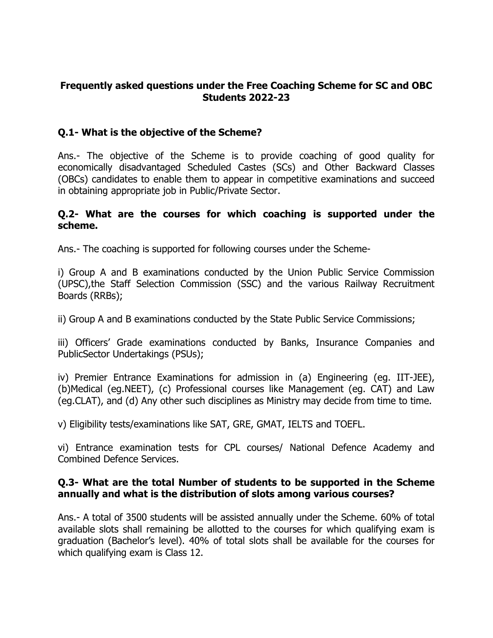## **Frequently asked questions under the Free Coaching Scheme for SC and OBC Students 2022-23**

## **Q.1- What is the objective of the Scheme?**

Ans.- The objective of the Scheme is to provide coaching of good quality for economically disadvantaged Scheduled Castes (SCs) and Other Backward Classes (OBCs) candidates to enable them to appear in competitive examinations and succeed in obtaining appropriate job in Public/Private Sector.

### **Q.2- What are the courses for which coaching is supported under the scheme.**

Ans.- The coaching is supported for following courses under the Scheme-

i) Group A and B examinations conducted by the Union Public Service Commission (UPSC),the Staff Selection Commission (SSC) and the various Railway Recruitment Boards (RRBs);

ii) Group A and B examinations conducted by the State Public Service Commissions;

iii) Officers' Grade examinations conducted by Banks, Insurance Companies and PublicSector Undertakings (PSUs);

iv) Premier Entrance Examinations for admission in (a) Engineering (eg. IIT-JEE), (b)Medical (eg.NEET), (c) Professional courses like Management (eg. CAT) and Law (eg.CLAT), and (d) Any other such disciplines as Ministry may decide from time to time.

v) Eligibility tests/examinations like SAT, GRE, GMAT, IELTS and TOEFL.

vi) Entrance examination tests for CPL courses/ National Defence Academy and Combined Defence Services.

## **Q.3- What are the total Number of students to be supported in the Scheme annually and what is the distribution of slots among various courses?**

Ans.- A total of 3500 students will be assisted annually under the Scheme. 60% of total available slots shall remaining be allotted to the courses for which qualifying exam is graduation (Bachelor's level). 40% of total slots shall be available for the courses for which qualifying exam is Class 12.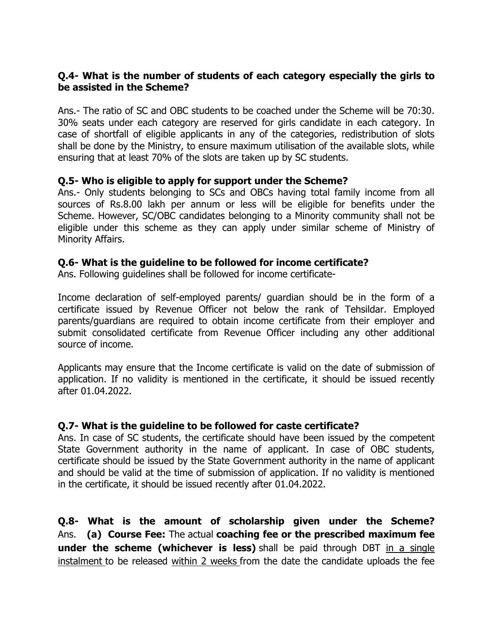## **Q.4- What is the number of students of each category especially the girls to be assisted in the Scheme?**

Ans.- The ratio of SC and OBC students to be coached under the Scheme will be 70:30. 30% seats under each category are reserved for girls candidate in each category. In case of shortfall of eligible applicants in any of the categories, redistribution of slots shall be done by the Ministry, to ensure maximum utilisation of the available slots, while ensuring that at least 70% of the slots are taken up by SC students.

#### **Q.5- Who is eligible to apply for support under the Scheme?**

Ans.- Only students belonging to SCs and OBCs having total family income from all sources of Rs.8.00 lakh per annum or less will be eligible for benefits under the Scheme. However, SC/OBC candidates belonging to a Minority community shall not be eligible under this scheme as they can apply under similar scheme of Ministry of Minority Affairs.

#### **Q.6- What is the guideline to be followed for income certificate?**

Ans. Following guidelines shall be followed for income certificate-

Income declaration of self-employed parents/ guardian should be in the form of a certificate issued by Revenue Officer not below the rank of Tehsildar. Employed parents/guardians are required to obtain income certificate from their employer and submit consolidated certificate from Revenue Officer including any other additional source of income.

Applicants may ensure that the Income certificate is valid on the date of submission of application. If no validity is mentioned in the certificate, it should be issued recently after 01.04.2022.

#### **Q.7- What is the guideline to be followed for caste certificate?**

Ans. In case of SC students, the certificate should have been issued by the competent State Government authority in the name of applicant. In case of OBC students, certificate should be issued by the State Government authority in the name of applicant and should be valid at the time of submission of application. If no validity is mentioned in the certificate, it should be issued recently after 01.04.2022.

**Q.8- What is the amount of scholarship given under the Scheme?** Ans. **(a) Course Fee:** The actual **coaching fee or the prescribed maximum fee under the scheme (whichever is less)** shall be paid through DBT in a single instalment to be released within 2 weeks from the date the candidate uploads the fee